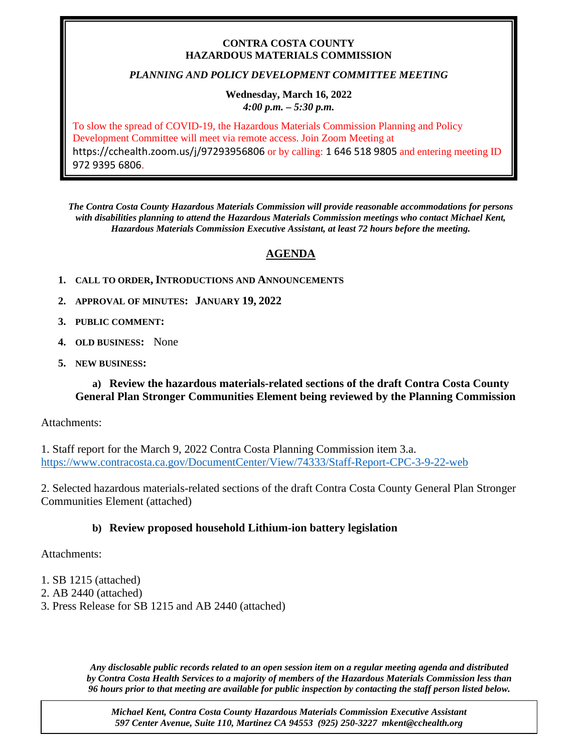#### **CONTRA COSTA COUNTY HAZARDOUS MATERIALS COMMISSION**

# *PLANNING AND POLICY DEVELOPMENT COMMITTEE MEETING*

#### **Wednesday, March 16, 2022**  *4:00 p.m. – 5:30 p.m.*

To slow the spread of COVID-19, the Hazardous Materials Commission Planning and Policy Development Committee will meet via remote access. Join Zoom Meeting at https://cchealth.zoom.us/j/97293956806 or by calling: 1 646 518 9805 and entering meeting ID 972 9395 6806.

*The Contra Costa County Hazardous Materials Commission will provide reasonable accommodations for persons with disabilities planning to attend the Hazardous Materials Commission meetings who contact Michael Kent, Hazardous Materials Commission Executive Assistant, at least 72 hours before the meeting.*

# **AGENDA**

- **1. CALL TO ORDER, INTRODUCTIONS AND ANNOUNCEMENTS**
- **2. APPROVAL OF MINUTES: JANUARY 19, 2022**
- **3. PUBLIC COMMENT:**
- **4. OLD BUSINESS:** None
- **5. NEW BUSINESS:**

# **a) Review the hazardous materials-related sections of the draft Contra Costa County General Plan Stronger Communities Element being reviewed by the Planning Commission**

Attachments:

1. Staff report for the March 9, 2022 Contra Costa Planning Commission item 3.a. <https://www.contracosta.ca.gov/DocumentCenter/View/74333/Staff-Report-CPC-3-9-22-web>

2. Selected hazardous materials-related sections of the draft Contra Costa County General Plan Stronger Communities Element (attached)

# **b) Review proposed household Lithium-ion battery legislation**

Attachments:

- 1. SB 1215 (attached)
- 2. AB 2440 (attached)
- 3. Press Release for SB 1215 and AB 2440 (attached)

*Any disclosable public records related to an open session item on a regular meeting agenda and distributed by Contra Costa Health Services to a majority of members of the Hazardous Materials Commission less than 96 hours prior to that meeting are available for public inspection by contacting the staff person listed below.* 

*Michael Kent, Contra Costa County Hazardous Materials Commission Executive Assistant 597 Center Avenue, Suite 110, Martinez CA 94553 (925) 250-3227 mkent@cchealth.org*